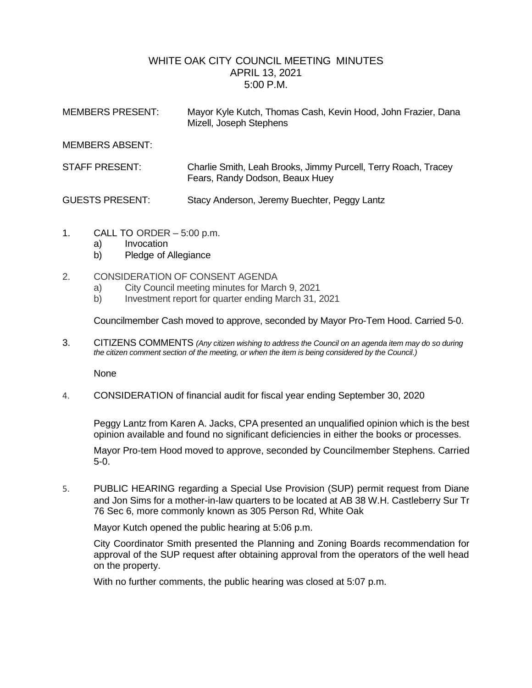## WHITE OAK CITY COUNCIL MEETING MINUTES APRIL 13, 2021 5:00 P.M.

| <b>MEMBERS PRESENT:</b> | Mayor Kyle Kutch, Thomas Cash, Kevin Hood, John Frazier, Dana<br>Mizell, Joseph Stephens          |
|-------------------------|---------------------------------------------------------------------------------------------------|
| <b>MEMBERS ABSENT:</b>  |                                                                                                   |
| STAFF PRESENT:          | Charlie Smith, Leah Brooks, Jimmy Purcell, Terry Roach, Tracey<br>Fears, Randy Dodson, Beaux Huey |
| <b>GUESTS PRESENT:</b>  | Stacy Anderson, Jeremy Buechter, Peggy Lantz                                                      |

- 1. CALL TO ORDER 5:00 p.m.
	- a) Invocation
	- b) Pledge of Allegiance
- 2. CONSIDERATION OF CONSENT AGENDA
	- a) City Council meeting minutes for March 9, 2021
	- b) Investment report for quarter ending March 31, 2021

Councilmember Cash moved to approve, seconded by Mayor Pro-Tem Hood. Carried 5-0.

3. CITIZENS COMMENTS *(Any citizen wishing to address the Council on an agenda item may do so during the citizen comment section of the meeting, or when the item is being considered by the Council.)*

None

4. CONSIDERATION of financial audit for fiscal year ending September 30, 2020

Peggy Lantz from Karen A. Jacks, CPA presented an unqualified opinion which is the best opinion available and found no significant deficiencies in either the books or processes.

Mayor Pro-tem Hood moved to approve, seconded by Councilmember Stephens. Carried 5-0.

5. PUBLIC HEARING regarding a Special Use Provision (SUP) permit request from Diane and Jon Sims for a mother-in-law quarters to be located at AB 38 W.H. Castleberry Sur Tr 76 Sec 6, more commonly known as 305 Person Rd, White Oak

Mayor Kutch opened the public hearing at 5:06 p.m.

City Coordinator Smith presented the Planning and Zoning Boards recommendation for approval of the SUP request after obtaining approval from the operators of the well head on the property.

With no further comments, the public hearing was closed at 5:07 p.m.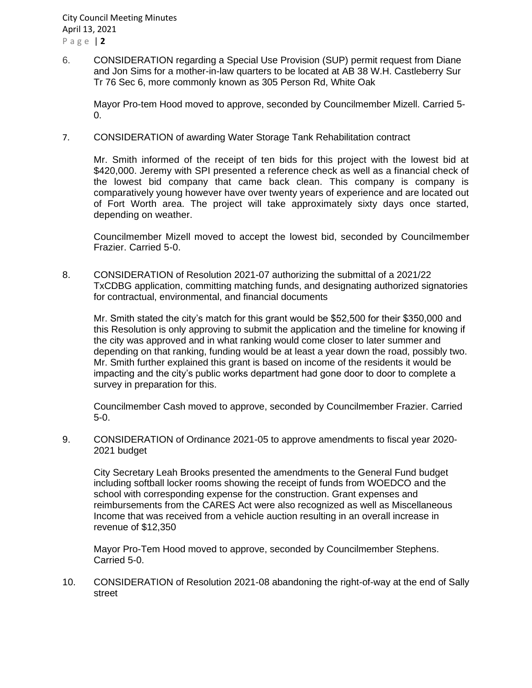6. CONSIDERATION regarding a Special Use Provision (SUP) permit request from Diane and Jon Sims for a mother-in-law quarters to be located at AB 38 W.H. Castleberry Sur Tr 76 Sec 6, more commonly known as 305 Person Rd, White Oak

Mayor Pro-tem Hood moved to approve, seconded by Councilmember Mizell. Carried 5-  $\Omega$ 

7. CONSIDERATION of awarding Water Storage Tank Rehabilitation contract

Mr. Smith informed of the receipt of ten bids for this project with the lowest bid at \$420,000. Jeremy with SPI presented a reference check as well as a financial check of the lowest bid company that came back clean. This company is company is comparatively young however have over twenty years of experience and are located out of Fort Worth area. The project will take approximately sixty days once started, depending on weather.

Councilmember Mizell moved to accept the lowest bid, seconded by Councilmember Frazier. Carried 5-0.

8. CONSIDERATION of Resolution 2021-07 authorizing the submittal of a 2021/22 TxCDBG application, committing matching funds, and designating authorized signatories for contractual, environmental, and financial documents

Mr. Smith stated the city's match for this grant would be \$52,500 for their \$350,000 and this Resolution is only approving to submit the application and the timeline for knowing if the city was approved and in what ranking would come closer to later summer and depending on that ranking, funding would be at least a year down the road, possibly two. Mr. Smith further explained this grant is based on income of the residents it would be impacting and the city's public works department had gone door to door to complete a survey in preparation for this.

Councilmember Cash moved to approve, seconded by Councilmember Frazier. Carried 5-0.

9. CONSIDERATION of Ordinance 2021-05 to approve amendments to fiscal year 2020- 2021 budget

City Secretary Leah Brooks presented the amendments to the General Fund budget including softball locker rooms showing the receipt of funds from WOEDCO and the school with corresponding expense for the construction. Grant expenses and reimbursements from the CARES Act were also recognized as well as Miscellaneous Income that was received from a vehicle auction resulting in an overall increase in revenue of \$12,350

Mayor Pro-Tem Hood moved to approve, seconded by Councilmember Stephens. Carried 5-0.

10. CONSIDERATION of Resolution 2021-08 abandoning the right-of-way at the end of Sally street